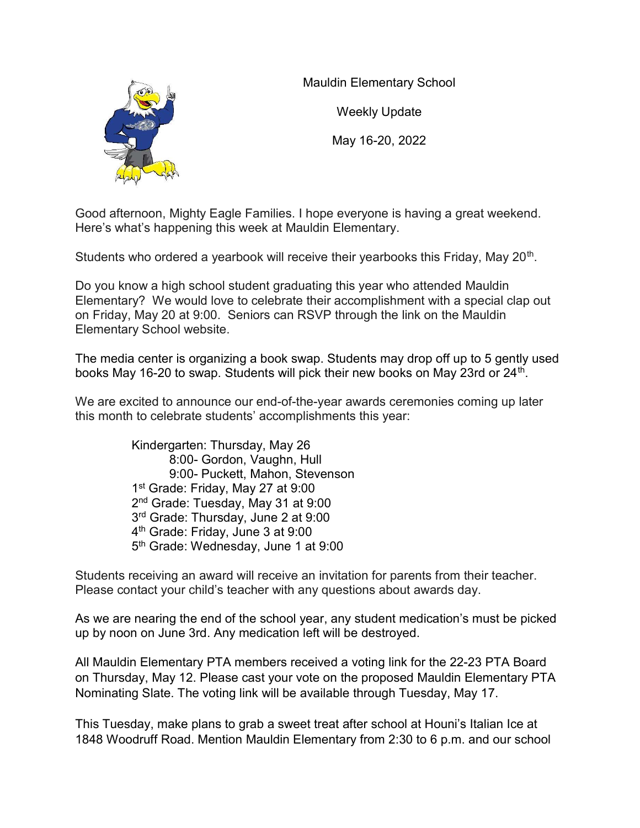

Mauldin Elementary School

Weekly Update

May 16-20, 2022

Good afternoon, Mighty Eagle Families. I hope everyone is having a great weekend. Here's what's happening this week at Mauldin Elementary.

Students who ordered a yearbook will receive their yearbooks this Friday, May 20<sup>th</sup>.

Do you know a high school student graduating this year who attended Mauldin Elementary? We would love to celebrate their accomplishment with a special clap out on Friday, May 20 at 9:00. Seniors can RSVP through the link on the Mauldin Elementary School website.

The media center is organizing a book swap. Students may drop off up to 5 gently used books May 16-20 to swap. Students will pick their new books on May 23rd or 24<sup>th</sup>.

We are excited to announce our end-of-the-year awards ceremonies coming up later this month to celebrate students' accomplishments this year:

> Kindergarten: Thursday, May 26 8:00- Gordon, Vaughn, Hull 9:00- Puckett, Mahon, Stevenson st Grade: Friday, May 27 at 9:00 nd Grade: Tuesday, May 31 at 9:00 rd Grade: Thursday, June 2 at 9:00 th Grade: Friday, June 3 at 9:00 th Grade: Wednesday, June 1 at 9:00

Students receiving an award will receive an invitation for parents from their teacher. Please contact your child's teacher with any questions about awards day.

As we are nearing the end of the school year, any student medication's must be picked up by noon on June 3rd. Any medication left will be destroyed.

All Mauldin Elementary PTA members received a voting link for the 22-23 PTA Board on Thursday, May 12. Please cast your vote on the proposed Mauldin Elementary PTA Nominating Slate. The voting link will be available through Tuesday, May 17.

This Tuesday, make plans to grab a sweet treat after school at Houni's Italian Ice at 1848 Woodruff Road. Mention Mauldin Elementary from 2:30 to 6 p.m. and our school